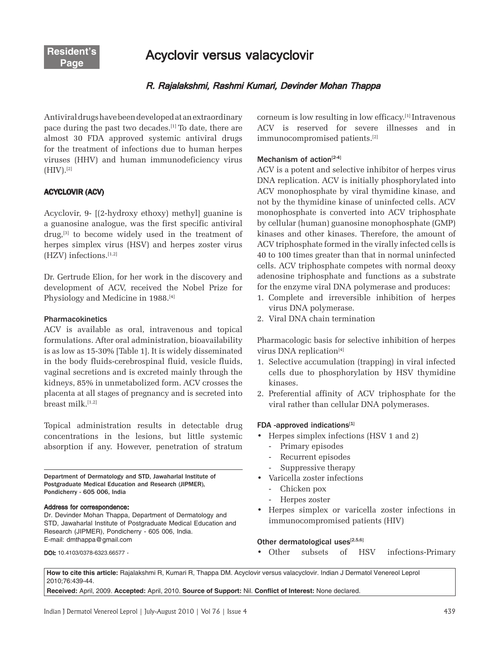Acyclovir versus valacyclovir

# R. Rajalakshmi, Rashmi Kumari, Devinder Mohan Thappa

Antiviral drugs have been developed at an extraordinary pace during the past two decades.[1] To date, there are almost 30 FDA approved systemic antiviral drugs for the treatment of infections due to human herpes viruses (HHV) and human immunodeficiency virus  $(HIV).$ [2]

### ACYCLOVIR (ACV)

Acyclovir, 9- [(2-hydroxy ethoxy) methyl] guanine is a guanosine analogue, was the first specific antiviral drug,[3] to become widely used in the treatment of herpes simplex virus (HSV) and herpes zoster virus (HZV) infections. $[1,2]$ 

Dr. Gertrude Elion, for her work in the discovery and development of ACV, received the Nobel Prize for Physiology and Medicine in 1988.<sup>[4]</sup>

#### **Pharmacokinetics**

ACV is available as oral, intravenous and topical formulations. After oral administration, bioavailability is as low as 15-30% [Table 1]. It is widely disseminated in the body fluids-cerebrospinal fluid, vesicle fluids, vaginal secretions and is excreted mainly through the kidneys, 85% in unmetabolized form. ACV crosses the placenta at all stages of pregnancy and is secreted into breast milk. $^{[1,2]}$ 

Topical administration results in detectable drug concentrations in the lesions, but little systemic absorption if any. However, penetration of stratum

Department of Dermatology and STD, Jawaharlal Institute of Postgraduate Medical Education and Research (JIPMER), Pondicherry - 605 006, India

#### Address for correspondence:

Dr. Devinder Mohan Thappa, Department of Dermatology and STD, Jawaharlal Institute of Postgraduate Medical Education and Research (JIPMER), Pondicherry - 605 006, India. E-mail: dmthappa@gmail.com

**DOI: 10.4103/0378-6323.66577 -**

corneum is low resulting in low efficacy.[1] Intravenous ACV is reserved for severe illnesses and in immunocompromised patients.[2]

#### Mechanism of  $\arctan[2-4]$

ACV is a potent and selective inhibitor of herpes virus DNA replication. ACV is initially phosphorylated into ACV monophosphate by viral thymidine kinase, and not by the thymidine kinase of uninfected cells. ACV monophosphate is converted into ACV triphosphate by cellular (human) guanosine monophosphate (GMP) kinases and other kinases. Therefore, the amount of ACV triphosphate formed in the virally infected cells is 40 to 100 times greater than that in normal uninfected cells. ACV triphosphate competes with normal deoxy adenosine triphosphate and functions as a substrate for the enzyme viral DNA polymerase and produces:

- 1. Complete and irreversible inhibition of herpes virus DNA polymerase.
- 2. Viral DNA chain termination

Pharmacologic basis for selective inhibition of herpes virus DNA replication<sup>[4]</sup>

- 1. Selective accumulation (trapping) in viral infected cells due to phosphorylation by HSV thymidine kinases.
- 2. Preferential affinity of ACV triphosphate for the viral rather than cellular DNA polymerases.

#### $FDA$  -approved indications<sup>[1]</sup>

- Herpes simplex infections (HSV 1 and 2)
	- Primary episodes
	- Recurrent episodes
	- Suppressive therapy
- Varicella zoster infections
	- Chicken pox
	- Herpes zoster
- Herpes simplex or varicella zoster infections in immunocompromised patients (HIV)

#### Other dermatological uses $[2,5,6]$

• Other subsets of HSV infections-Primary

**How to cite this article:** Rajalakshmi R, Kumari R, Thappa DM. Acyclovir versus valacyclovir. Indian J Dermatol Venereol Leprol 2010;76:439-44.

**Received:** April, 2009. **Accepted:** April, 2010. **Source of Support:** Nil. **Conflict of Interest:** None declared.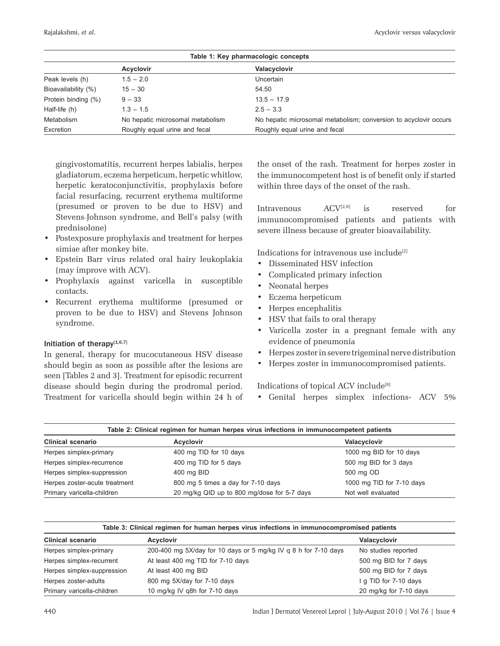| Table 1: Key pharmacologic concepts |                                  |                                                                  |  |  |
|-------------------------------------|----------------------------------|------------------------------------------------------------------|--|--|
|                                     | <b>Acyclovir</b>                 | Valacyclovir                                                     |  |  |
| Peak levels (h)                     | $1.5 - 2.0$                      | Uncertain                                                        |  |  |
| Bioavailability (%)                 | $15 - 30$                        | 54.50                                                            |  |  |
| Protein binding (%)                 | $9 - 33$                         | $13.5 - 17.9$                                                    |  |  |
| Half-life (h)                       | $1.3 - 1.5$                      | $2.5 - 3.3$                                                      |  |  |
| Metabolism                          | No hepatic microsomal metabolism | No hepatic microsomal metabolism; conversion to acyclovir occurs |  |  |
| Excretion                           | Roughly equal urine and fecal    | Roughly equal urine and fecal                                    |  |  |

gingivostomatitis, recurrent herpes labialis, herpes gladiatorum, eczema herpeticum, herpetic whitlow, herpetic keratoconjunctivitis, prophylaxis before facial resurfacing, recurrent erythema multiforme (presumed or proven to be due to HSV) and Stevens\_ Johnson syndrome, and Bell's palsy (with prednisolone)

- Postexposure prophylaxis and treatment for herpes simiae after monkey bite.
- Epstein Barr virus related oral hairy leukoplakia (may improve with ACV).
- Prophylaxis against varicella in susceptible contacts.
- Recurrent erythema multiforme (presumed or proven to be due to HSV) and Stevens Johnson syndrome.

# Initiation of therapy $[1,6,7]$

In general, therapy for mucocutaneous HSV disease should begin as soon as possible after the lesions are seen [Tables 2 and 3]. Treatment for episodic recurrent disease should begin during the prodromal period. Treatment for varicella should begin within 24 h of the onset of the rash. Treatment for herpes zoster in the immunocompetent host is of benefit only if started within three days of the onset of the rash.

Intravenous  $ACV^{[2,6]}$  is reserved for immunocompromised patients and patients with severe illness because of greater bioavailability.

Indications for intravenous use include<sup>[2]</sup>

- Disseminated HSV infection
- Complicated primary infection
- Neonatal herpes
- Eczema herpeticum
- Herpes encephalitis
- HSV that fails to oral therapy
- Varicella zoster in a pregnant female with any evidence of pneumonia
- Herpes zoster in severe trigeminal nerve distribution
- Herpes zoster in immunocompromised patients.

### Indications of topical ACV include<sup>[8]</sup>

• Genital herpes simplex infections- ACV 5%

| Table 2: Clinical regimen for human herpes virus infections in immunocompetent patients |                                             |                           |  |  |
|-----------------------------------------------------------------------------------------|---------------------------------------------|---------------------------|--|--|
| <b>Clinical scenario</b>                                                                | <b>Acvclovir</b>                            | Valacyclovir              |  |  |
| Herpes simplex-primary                                                                  | 400 mg TID for 10 days                      | 1000 mg BID for 10 days   |  |  |
| Herpes simplex-recurrence                                                               | 400 mg TID for 5 days                       | 500 mg BID for 3 days     |  |  |
| Herpes simplex-suppression                                                              | 400 mg BID                                  | 500 mg OD                 |  |  |
| Herpes zoster-acute treatment                                                           | 800 mg 5 times a day for 7-10 days          | 1000 mg TID for 7-10 days |  |  |
| Primary varicella-children                                                              | 20 mg/kg QID up to 800 mg/dose for 5-7 days | Not well evaluated        |  |  |

| Table 3: Clinical regimen for human herpes virus infections in immunocompromised patients |                                                                 |                        |  |  |
|-------------------------------------------------------------------------------------------|-----------------------------------------------------------------|------------------------|--|--|
| <b>Clinical scenario</b>                                                                  | <b>Acyclovir</b>                                                | Valacyclovir           |  |  |
| Herpes simplex-primary                                                                    | 200-400 mg 5X/day for 10 days or 5 mg/kg IV q 8 h for 7-10 days | No studies reported    |  |  |
| Herpes simplex-recurrent                                                                  | At least 400 mg TID for 7-10 days                               | 500 mg BID for 7 days  |  |  |
| Herpes simplex-suppression                                                                | At least 400 mg BID                                             | 500 mg BID for 7 days  |  |  |
| Herpes zoster-adults                                                                      | 800 mg 5X/day for 7-10 days                                     | I g TID for 7-10 days  |  |  |
| Primary varicella-children                                                                | 10 mg/kg IV g8h for 7-10 days                                   | 20 mg/kg for 7-10 days |  |  |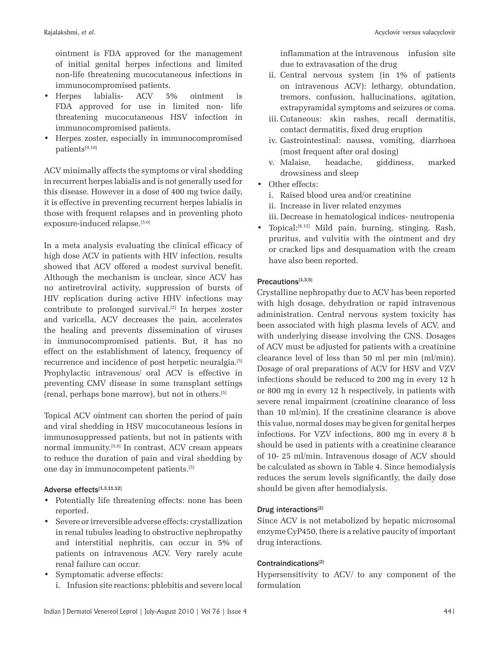ointment is FDA approved for the management of initial genital herpes infections and limited non-life threatening mucocutaneous infections in immunocompromised patients.

- Herpes labialis- ACV 5% ointment is FDA approved for use in limited non- life threatening mucocutaneous HSV infection in immunocompromised patients.
- Herpes zoster, especially in immunocompromised patients[9,10]

ACV minimally affects the symptoms or viral shedding in recurrent herpes labialis and is not generally used for this disease. However in a dose of 400 mg twice daily, it is effective in preventing recurrent herpes labialis in those with frequent relapses and in preventing photo exposure-induced relapse.[5,6]

In a meta analysis evaluating the clinical efficacy of high dose ACV in patients with HIV infection, results showed that ACV offered a modest survival benefit. Although the mechanism is unclear, since ACV has no antiretroviral activity, suppression of bursts of HIV replication during active HHV infections may contribute to prolonged survival.[2] In herpes zoster and varicella, ACV decreases the pain, accelerates the healing and prevents dissemination of viruses in immunocompromised patients. But, it has no effect on the establishment of latency, frequency of recurrence and incidence of post herpetic neuralgia.[5] Prophylactic intravenous/ oral ACV is effective in preventing CMV disease in some transplant settings (renal, perhaps bone marrow), but not in others.[5]

Topical ACV ointment can shorten the period of pain and viral shedding in HSV mucocutaneous lesions in immunosuppressed patients, but not in patients with normal immunity.[5,8] In contrast, ACV cream appears to reduce the duration of pain and viral shedding by one day in immunocompetent patients.[5]

## Adverse effects[1,3,11,12]

- Potentially life threatening effects: none has been reported.
- Severe or irreversible adverse effects: crystallization in renal tubules leading to obstructive nephropathy and interstitial nephritis, can occur in 5% of patients on intravenous ACV. Very rarely acute renal failure can occur.
- Symptomatic adverse effects: i. Infusion site reactions: phlebitis and severe local

inflammation at the intravenous infusion site due to extravasation of the drug

- ii. Central nervous system (in 1% of patients on intravenous ACV): lethargy, obtundation, tremors, confusion, hallucinations, agitation, extrapyramidal symptoms and seizures or coma.
- iii. Cutaneous: skin rashes, recall dermatitis, contact dermatitis, fixed drug eruption
- iv. Gastrointestinal: nausea, vomiting, diarrhoea (most frequent after oral dosing)
- v. Malaise, headache, giddiness, marked drowsiness and sleep
- Other effects:
	- i. Raised blood urea and/or creatinine
	- ii. Increase in liver related enzymes
	- iii. Decrease in hematological indices- neutropenia
- Topical: $[8,12]$  Mild pain, burning, stinging. Rash, pruritus, and vulvitis with the ointment and dry or cracked lips and desquamation with the cream have also been reported.

## Precautions[1,3,5]

Crystalline nephropathy due to ACV has been reported with high dosage, dehydration or rapid intravenous administration. Central nervous system toxicity has been associated with high plasma levels of ACV, and with underlying disease involving the CNS. Dosages of ACV must be adjusted for patients with a creatinine clearance level of less than 50 ml per min (ml/min). Dosage of oral preparations of ACV for HSV and VZV infections should be reduced to 200 mg in every 12 h or 800 mg in every 12 h respectively, in patients with severe renal impairment (creatinine clearance of less than 10 ml/min). If the creatinine clearance is above this value, normal doses may be given for genital herpes infections. For VZV infections, 800 mg in every 8 h should be used in patients with a creatinine clearance of 10- 25 ml/min. Intravenous dosage of ACV should be calculated as shown in Table 4. Since hemodialysis reduces the serum levels significantly, the daily dose should be given after hemodialysis.

## Drug interactions[2]

Since ACV is not metabolized by hepatic microsomal enzyme CyP450, there is a relative paucity of important drug interactions.

## Contraindications<sup>[2]</sup>

Hypersensitivity to ACV/ to any component of the formulation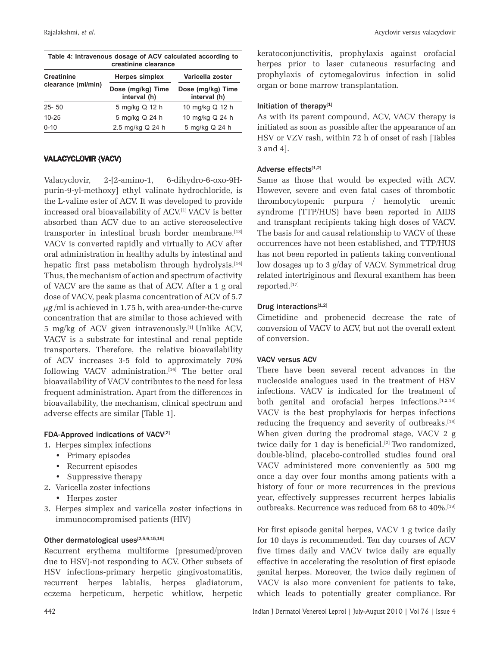| Table 4: Intravenous dosage of ACV calculated according to | kera |
|------------------------------------------------------------|------|

| creatinine clearance |                                   |                                   |  |  |  |
|----------------------|-----------------------------------|-----------------------------------|--|--|--|
| <b>Creatinine</b>    | <b>Herpes simplex</b>             | Varicella zoster                  |  |  |  |
| clearance (ml/min)   | Dose (mg/kg) Time<br>interval (h) | Dose (mg/kg) Time<br>interval (h) |  |  |  |
| $25 - 50$            | 5 mg/kg Q 12 h                    | 10 mg/kg Q 12 h                   |  |  |  |
| $10 - 25$            | 5 mg/kg Q 24 h                    | 10 mg/kg Q 24 h                   |  |  |  |
| $0 - 10$             | 2.5 mg/kg Q 24 h                  | 5 mg/kg Q 24 h                    |  |  |  |

## VALACYCLOVIR (VACV)

Valacyclovir, 2-[2-amino-1, 6-dihydro-6-oxo-9Hpurin-9-yl-methoxy] ethyl valinate hydrochloride, is the L-valine ester of ACV. It was developed to provide increased oral bioavailability of ACV.[1] VACV is better absorbed than ACV due to an active stereoselective transporter in intestinal brush border membrane.<sup>[13]</sup> VACV is converted rapidly and virtually to ACV after oral administration in healthy adults by intestinal and hepatic first pass metabolism through hydrolysis.<sup>[14]</sup> Thus, the mechanism of action and spectrum of activity of VACV are the same as that of ACV. After a 1 g oral dose of VACV, peak plasma concentration of ACV of 5.7  $\mu$ g/ml is achieved in 1.75 h, with area-under-the-curve concentration that are similar to those achieved with 5 mg/kg of ACV given intravenously.[1] Unlike ACV, VACV is a substrate for intestinal and renal peptide transporters. Therefore, the relative bioavailability of ACV increases 3-5 fold to approximately 70% following VACV administration.<sup>[14]</sup> The better oral bioavailability of VACV contributes to the need for less frequent administration. Apart from the differences in bioavailability, the mechanism, clinical spectrum and adverse effects are similar [Table 1].

## FDA-Approved indications of VACV<sup>[2]</sup>

- 1**.** Herpes simplex infections
	- Primary episodes
	- Recurrent episodes
	- Suppressive therapy
- 2**.** Varicella zoster infections
	- Herpes zoster
- 3. Herpes simplex and varicella zoster infections in immunocompromised patients (HIV)

# Other dermatological uses $[2,5,6,15,16]$

Recurrent erythema multiforme (presumed/proven due to HSV)-not responding to ACV. Other subsets of HSV infections-primary herpetic gingivostomatitis, recurrent herpes labialis, herpes gladiatorum, eczema herpeticum, herpetic whitlow, herpetic

atoconjunctivitis, prophylaxis against orofacial herpes prior to laser cutaneous resurfacing and prophylaxis of cytomegalovirus infection in solid organ or bone marrow transplantation.

### Initiation of therapy $[1]$

As with its parent compound, ACV, VACV therapy is initiated as soon as possible after the appearance of an HSV or VZV rash, within 72 h of onset of rash [Tables 3 and 4].

### Adverse effects[1,2]

Same as those that would be expected with ACV. However, severe and even fatal cases of thrombotic thrombocytopenic purpura / hemolytic uremic syndrome (TTP/HUS) have been reported in AIDS and transplant recipients taking high doses of VACV. The basis for and causal relationship to VACV of these occurrences have not been established, and TTP/HUS has not been reported in patients taking conventional low dosages up to 3 g/day of VACV. Symmetrical drug related intertriginous and flexural exanthem has been reported.[17]

## Drug interactions $[1,2]$

Cimetidine and probenecid decrease the rate of conversion of VACV to ACV, but not the overall extent of conversion.

### VACV versus ACV

There have been several recent advances in the nucleoside analogues used in the treatment of HSV infections. VACV is indicated for the treatment of both genital and orofacial herpes infections.<sup>[1,2,18]</sup> VACV is the best prophylaxis for herpes infections reducing the frequency and severity of outbreaks.<sup>[18]</sup> When given during the prodromal stage, VACV 2 g twice daily for 1 day is beneficial.<sup>[2]</sup> Two randomized, double-blind, placebo-controlled studies found oral VACV administered more conveniently as 500 mg once a day over four months among patients with a history of four or more recurrences in the previous year, effectively suppresses recurrent herpes labialis outbreaks. Recurrence was reduced from 68 to 40%.<sup>[19]</sup>

For first episode genital herpes, VACV 1 g twice daily for 10 days is recommended. Ten day courses of ACV five times daily and VACV twice daily are equally effective in accelerating the resolution of first episode genital herpes. Moreover, the twice daily regimen of VACV is also more convenient for patients to take, which leads to potentially greater compliance. For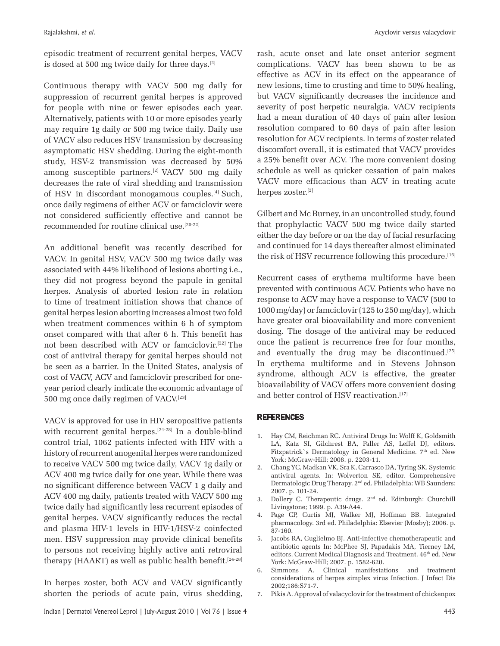episodic treatment of recurrent genital herpes, VACV is dosed at 500 mg twice daily for three days.<sup>[2]</sup>

Continuous therapy with VACV 500 mg daily for suppression of recurrent genital herpes is approved for people with nine or fewer episodes each year. Alternatively, patients with 10 or more episodes yearly may require 1g daily or 500 mg twice daily. Daily use of VACV also reduces HSV transmission by decreasing asymptomatic HSV shedding. During the eight-month study, HSV-2 transmission was decreased by 50% among susceptible partners.[2] VACV 500 mg daily decreases the rate of viral shedding and transmission of HSV in discordant monogamous couples.[4] Such, once daily regimens of either ACV or famciclovir were not considered sufficiently effective and cannot be recommended for routine clinical use.[20-22]

An additional benefit was recently described for VACV. In genital HSV, VACV 500 mg twice daily was associated with 44% likelihood of lesions aborting i.e., they did not progress beyond the papule in genital herpes. Analysis of aborted lesion rate in relation to time of treatment initiation shows that chance of genital herpes lesion aborting increases almost two fold when treatment commences within 6 h of symptom onset compared with that after 6 h. This benefit has not been described with ACV or famciclovir.[22] The cost of antiviral therapy for genital herpes should not be seen as a barrier. In the United States, analysis of cost of VACV, ACV and famciclovir prescribed for oneyear period clearly indicate the economic advantage of 500 mg once daily regimen of VACV.[23]

VACV is approved for use in HIV seropositive patients with recurrent genital herpes.<sup>[24-28]</sup> In a double-blind control trial, 1062 patients infected with HIV with a history of recurrent anogenital herpes were randomized to receive VACV 500 mg twice daily, VACV 1g daily or ACV 400 mg twice daily for one year. While there was no significant difference between VACV 1 g daily and ACV 400 mg daily, patients treated with VACV 500 mg twice daily had significantly less recurrent episodes of genital herpes. VACV significantly reduces the rectal and plasma HIV-1 levels in HIV-1/HSV-2 coinfected men. HSV suppression may provide clinical benefits to persons not receiving highly active anti retroviral therapy (HAART) as well as public health benefit. $[24-28]$ 

In herpes zoster, both ACV and VACV significantly shorten the periods of acute pain, virus shedding, rash, acute onset and late onset anterior segment complications. VACV has been shown to be as effective as ACV in its effect on the appearance of new lesions, time to crusting and time to 50% healing, but VACV significantly decreases the incidence and severity of post herpetic neuralgia. VACV recipients had a mean duration of 40 days of pain after lesion resolution compared to 60 days of pain after lesion resolution for ACV recipients. In terms of zoster related discomfort overall, it is estimated that VACV provides a 25% benefit over ACV. The more convenient dosing schedule as well as quicker cessation of pain makes VACV more efficacious than ACV in treating acute herpes zoster.[2]

Gilbert and Mc Burney, in an uncontrolled study, found that prophylactic VACV 500 mg twice daily started either the day before or on the day of facial resurfacing and continued for 14 days thereafter almost eliminated the risk of HSV recurrence following this procedure.[16]

Recurrent cases of erythema multiforme have been prevented with continuous ACV. Patients who have no response to ACV may have a response to VACV (500 to 1000 mg/day) or famciclovir (125 to 250 mg/day), which have greater oral bioavailability and more convenient dosing. The dosage of the antiviral may be reduced once the patient is recurrence free for four months, and eventually the drug may be discontinued.<sup>[25]</sup> In erythema multiforme and in Stevens Johnson syndrome, although ACV is effective, the greater bioavailability of VACV offers more convenient dosing and better control of HSV reactivation.<sup>[17]</sup>

### REFERENCES

- 1. Hay CM, Reichman RC. Antiviral Drugs In: Wolff K, Goldsmith LA, Katz SI, Gilchrest BA, Paller AS, Leffel DJ, editors. Fitzpatrick`s Dermatology in General Medicine. 7<sup>th</sup> ed. New York: McGraw-Hill; 2008. p. 2203-11.
- 2. Chang YC, Madkan VK, Sra K, Carrasco DA, Tyring SK. Systemic antiviral agents. In: Wolverton SE, editor. Comprehensive Dermatologic Drug Therapy. 2<sup>nd</sup> ed. Philadelphia: WB Saunders; 2007. p. 101-24.
- 3. Dollery C. Therapeutic drugs. 2<sup>nd</sup> ed. Edinburgh: Churchill Livingstone; 1999. p. A39-A44.
- 4. Page CP, Curtis MJ, Walker MJ, Hoffman BB. Integrated pharmacology. 3rd ed. Philadelphia: Elsevier (Mosby); 2006. p. 87-160.
- 5. Jacobs RA, Guglielmo BJ. Anti-infective chemotherapeutic and antibiotic agents In: McPhee SJ, Papadakis MA, Tierney LM, editors. Current Medical Diagnosis and Treatment. 46<sup>th</sup> ed. New York: McGraw-Hill; 2007. p. 1582-620.
- 6. Simmons A. Clinical manifestations and treatment considerations of herpes simplex virus Infection. J Infect Dis 2002;186:S71-7.
- 7. Pikis A. Approval of valacyclovir for the treatment of chickenpox